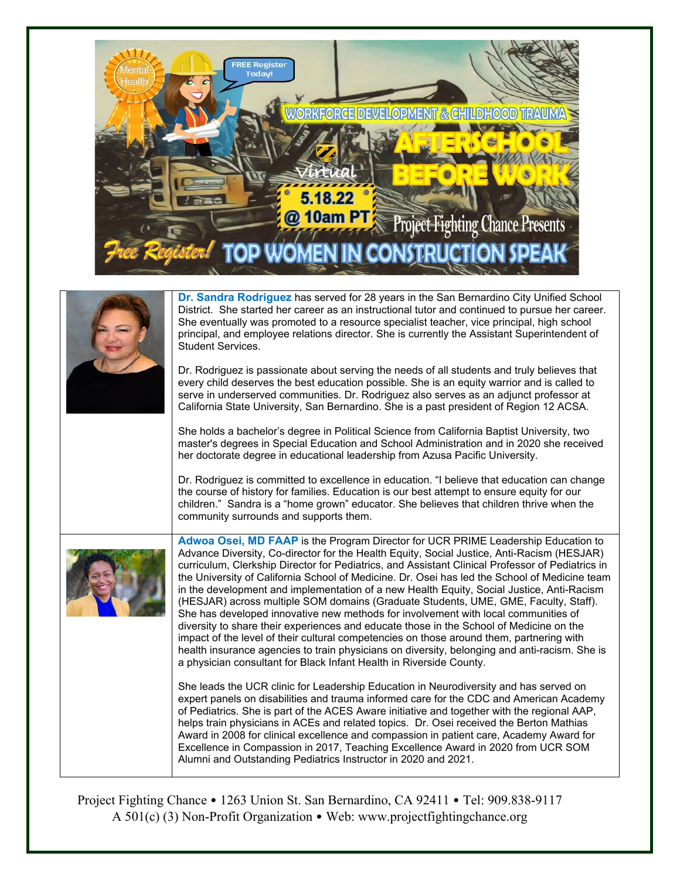

|  | Dr. Sandra Rodriguez has served for 28 years in the San Bernardino City Unified School<br>District. She started her career as an instructional tutor and continued to pursue her career.<br>She eventually was promoted to a resource specialist teacher, vice principal, high school<br>principal, and employee relations director. She is currently the Assistant Superintendent of<br>Student Services.                                                                                                                                                                                                                                                                                                                                                                                                                                                                                                                                                                                                                    |
|--|-------------------------------------------------------------------------------------------------------------------------------------------------------------------------------------------------------------------------------------------------------------------------------------------------------------------------------------------------------------------------------------------------------------------------------------------------------------------------------------------------------------------------------------------------------------------------------------------------------------------------------------------------------------------------------------------------------------------------------------------------------------------------------------------------------------------------------------------------------------------------------------------------------------------------------------------------------------------------------------------------------------------------------|
|  | Dr. Rodriguez is passionate about serving the needs of all students and truly believes that<br>every child deserves the best education possible. She is an equity warrior and is called to<br>serve in underserved communities. Dr. Rodriguez also serves as an adjunct professor at<br>California State University, San Bernardino. She is a past president of Region 12 ACSA.                                                                                                                                                                                                                                                                                                                                                                                                                                                                                                                                                                                                                                               |
|  | She holds a bachelor's degree in Political Science from California Baptist University, two<br>master's degrees in Special Education and School Administration and in 2020 she received<br>her doctorate degree in educational leadership from Azusa Pacific University.                                                                                                                                                                                                                                                                                                                                                                                                                                                                                                                                                                                                                                                                                                                                                       |
|  | Dr. Rodriguez is committed to excellence in education. "I believe that education can change<br>the course of history for families. Education is our best attempt to ensure equity for our<br>children." Sandra is a "home grown" educator. She believes that children thrive when the<br>community surrounds and supports them.                                                                                                                                                                                                                                                                                                                                                                                                                                                                                                                                                                                                                                                                                               |
|  | Adwoa Osei, MD FAAP is the Program Director for UCR PRIME Leadership Education to<br>Advance Diversity, Co-director for the Health Equity, Social Justice, Anti-Racism (HESJAR)<br>curriculum, Clerkship Director for Pediatrics, and Assistant Clinical Professor of Pediatrics in<br>the University of California School of Medicine. Dr. Osei has led the School of Medicine team<br>in the development and implementation of a new Health Equity, Social Justice, Anti-Racism<br>(HESJAR) across multiple SOM domains (Graduate Students, UME, GME, Faculty, Staff).<br>She has developed innovative new methods for involvement with local communities of<br>diversity to share their experiences and educate those in the School of Medicine on the<br>impact of the level of their cultural competencies on those around them, partnering with<br>health insurance agencies to train physicians on diversity, belonging and anti-racism. She is<br>a physician consultant for Black Infant Health in Riverside County. |
|  | She leads the UCR clinic for Leadership Education in Neurodiversity and has served on<br>expert panels on disabilities and trauma informed care for the CDC and American Academy<br>of Pediatrics. She is part of the ACES Aware initiative and together with the regional AAP,<br>helps train physicians in ACEs and related topics. Dr. Osei received the Berton Mathias<br>Award in 2008 for clinical excellence and compassion in patient care, Academy Award for<br>Excellence in Compassion in 2017, Teaching Excellence Award in 2020 from UCR SOM                                                                                                                                                                                                                                                                                                                                                                                                                                                                     |

Project Fighting Chance • 1263 Union St. San Bernardino, CA 92411 • Tel: 909.838-9117 A 501(c) (3) Non-Profit Organization • Web: www.projectfightingchance.org